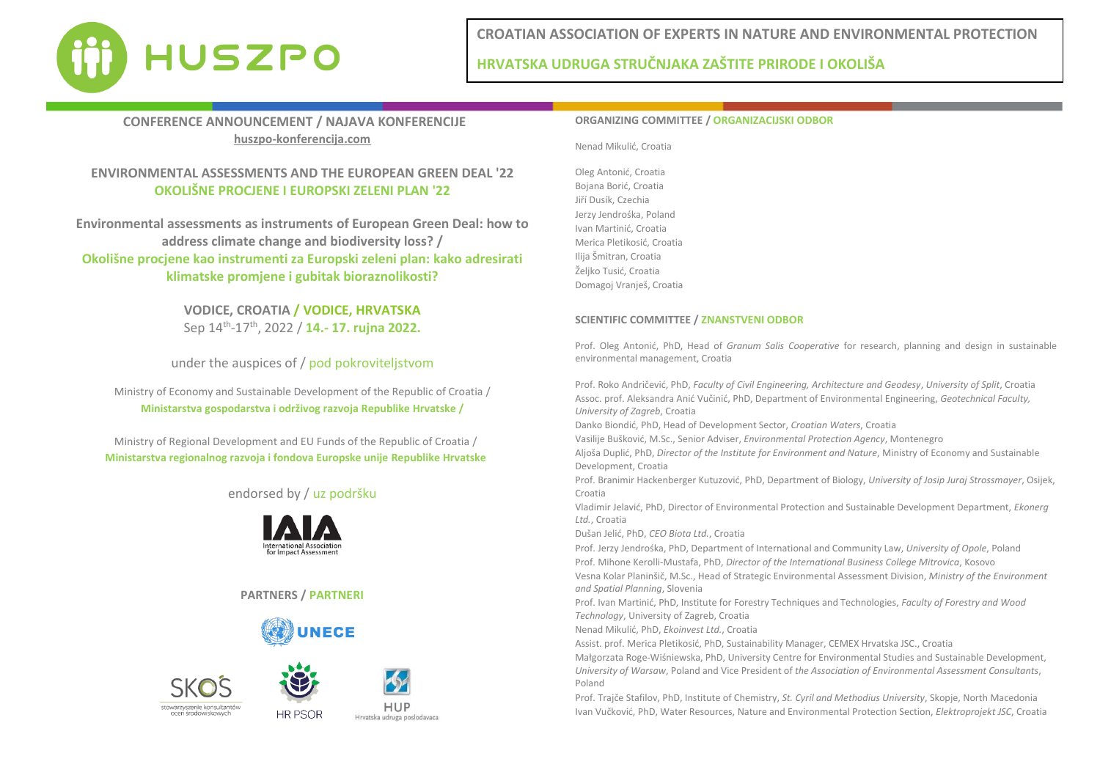

**HRVATSKA UDRUGA STRUČNJAKA ZAŠTITE PRIRODE I OKOLIŠA**

# **CONFERENCE ANNOUNCEMENT / NAJAVA KONFERENCIJE huszpo-konferencija.com**

# **ENVIRONMENTAL ASSESSMENTS AND THE EUROPEAN GREEN DEAL '22 OKOLIŠNE PROCJENE I EUROPSKI ZELENI PLAN '22**

**Environmental assessments as instruments of European Green Deal: how to address climate change and biodiversity loss? / Okolišne procjene kao instrumenti za Europski zeleni plan: kako adresirati klimatske promjene i gubitak bioraznolikosti?**

> **VODICE, CROATIA / VODICE, HRVATSKA** Sep 14th -17th , 2022 / **14.- 17. rujna 2022.**

under the auspices of / pod pokroviteljstvom

Ministry of Economy and Sustainable Development of the Republic of Croatia / **Ministarstva gospodarstva i održivog razvoja Republike Hrvatske /** 

Ministry of Regional Development and EU Funds of the Republic of Croatia / **Ministarstva regionalnog razvoja i fondova Europske unije Republike Hrvatske**

## endorsed by / uz podršku



## **PARTNERS / PARTNERI**







**HUP** Hrvatska udruga poslodavaca

## **ORGANIZING COMMITTEE / ORGANIZACIJSKI ODBOR**

Nenad Mikulić, Croatia

Oleg Antonić, Croatia Bojana Borić, Croatia Jiří Dusík, Czechia Jerzy Jendrośka, Poland Ivan Martinić, Croatia Merica Pletikosić, Croatia Ilija Šmitran, Croatia Željko Tusić, Croatia Domagoj Vranješ, Croatia

## **SCIENTIFIC COMMITTEE / ZNANSTVENI ODBOR**

Prof. Oleg Antonić, PhD, Head of *Granum Salis Cooperative* for research, planning and design in sustainable environmental management, Croatia

Prof. Roko Andričević, PhD, *Faculty of Civil Engineering, Architecture and Geodesy*, *University of Split*, Croatia Assoc. prof. Aleksandra Anić Vučinić, PhD, Department of Environmental Engineering, *Geotechnical Faculty, University of Zagreb*, Croatia

Danko Biondić, PhD, Head of Development Sector, *Croatian Waters*, Croatia

Vasilije Bušković, M.Sc., Senior Adviser, *Environmental Protection Agency*, Montenegro

Aljoša Duplić, PhD, *Director of the Institute for Environment and Nature*, Ministry of Economy and Sustainable Development, Croatia

Prof. Branimir Hackenberger Kutuzović, PhD, Department of Biology, *University of Josip Juraj Strossmayer*, Osijek, Croatia

Vladimir Jelavić, PhD, Director of Environmental Protection and Sustainable Development Department, *Ekonerg Ltd.*, Croatia

Dušan Jelić, PhD, *CEO Biota Ltd.*, Croatia

Prof. Jerzy Jendrośka, PhD, Department of International and Community Law, *University of Opole*, Poland Prof. Mihone Kerolli-Mustafa, PhD, *Director of the International Business College Mitrovica*, Kosovo

Vesna Kolar Planinšič, M.Sc., Head of Strategic Environmental Assessment Division, *Ministry of the Environment and Spatial Planning*, Slovenia

Prof. Ivan Martinić, PhD, Institute for Forestry Techniques and Technologies, *Faculty of Forestry and Wood Technology*, University of Zagreb, Croatia

Nenad Mikulić, PhD, *Ekoinvest Ltd.*, Croatia

Assist. prof. Merica Pletikosić, PhD, Sustainability Manager, CEMEX Hrvatska JSC., Croatia

Małgorzata Roge-Wiśniewska, PhD, University Centre for Environmental Studies and Sustainable Development, *University of Warsaw*, Poland and Vice President of *the Association of Environmental Assessment Consultants*, Poland

Prof. Trajče Stafilov, PhD, Institute of Chemistry, *St. Cyril and Methodius University*, Skopje, North Macedonia Ivan Vučković, PhD, Water Resources, Nature and Environmental Protection Section, *Elektroprojekt JSC*, Croatia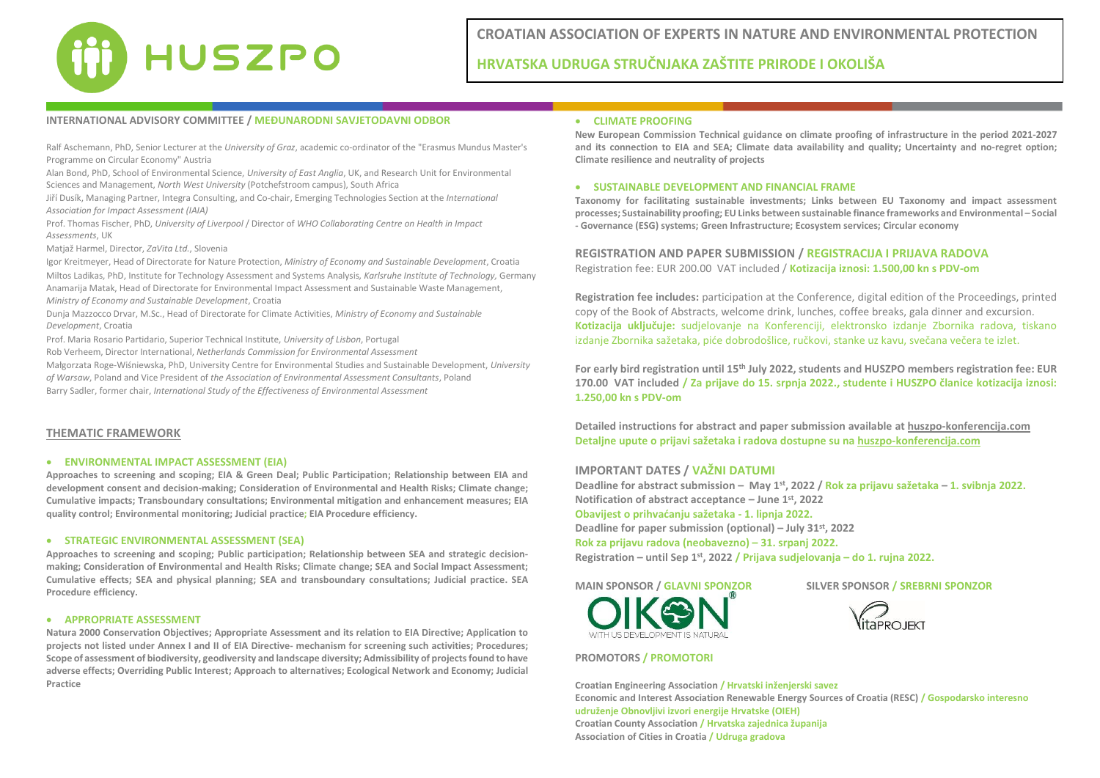

## **INTERNATIONAL ADVISORY COMMITTEE / MEĐUNARODNI SAVJETODAVNI ODBOR**

Ralf Aschemann, PhD, Senior Lecturer at the *University of Graz*, academic co-ordinator of the "Erasmus Mundus Master's Programme on Circular Economy" Austria

Alan Bond, PhD, School of Environmental Science, *University of East Anglia*, UK, and Research Unit for Environmental Sciences and Management, *North West University* (Potchefstroom campus), South Africa

Jiří Dusík, Managing Partner, Integra Consulting, and Co-chair, Emerging Technologies Section at the *International Association for Impact Assessment (IAIA)*

Prof. Thomas Fischer, PhD, *University of Liverpool* / Director of *WHO Collaborating Centre on Health in Impact Assessments*, UK

Matjaž Harmel, Director, *ZaVita Ltd.*, Slovenia

Igor Kreitmeyer, Head of Directorate for Nature Protection, *Ministry of Economy and Sustainable Development*, Croatia Miltos Ladikas, PhD, Institute for Technology Assessment and Systems Analysis*, Karlsruhe Institute of Technology,* Germany Anamarija Matak, Head of Directorate for Environmental Impact Assessment and Sustainable Waste Management, *Ministry of Economy and Sustainable Development*, Croatia

Dunja Mazzocco Drvar, M.Sc., Head of Directorate for Climate Activities, *Ministry of Economy and Sustainable Development*, Croatia

Prof. Maria Rosario Partidario, Superior Technical Institute, *University of Lisbon*, Portugal

Rob Verheem, Director International, *Netherlands Commission for Environmental Assessment*

Małgorzata Roge-Wiśniewska, PhD, University Centre for Environmental Studies and Sustainable Development, *University of Warsaw*, Poland and Vice President of *the Association of Environmental Assessment Consultants*, Poland Barry Sadler, former chair, *International Study of the Effectiveness of Environmental Assessment*

#### **THEMATIC FRAMEWORK**

#### • **ENVIRONMENTAL IMPACT ASSESSMENT (EIA)**

**Approaches to screening and scoping; EIA & Green Deal; Public Participation; Relationship between EIA and development consent and decision-making; Consideration of Environmental and Health Risks; Climate change; Cumulative impacts; Transboundary consultations; Environmental mitigation and enhancement measures; EIA quality control; Environmental monitoring; Judicial practice; EIA Procedure efficiency.** 

#### • **STRATEGIC ENVIRONMENTAL ASSESSMENT (SEA)**

**Approaches to screening and scoping; Public participation; Relationship between SEA and strategic decisionmaking; Consideration of Environmental and Health Risks; Climate change; SEA and Social Impact Assessment; Cumulative effects; SEA and physical planning; SEA and transboundary consultations; Judicial practice. SEA Procedure efficiency.** 

### • **APPROPRIATE ASSESSMENT**

**Natura 2000 Conservation Objectives; Appropriate Assessment and its relation to EIA Directive; Application to projects not listed under Annex I and II of EIA Directive- mechanism for screening such activities; Procedures; Scope of assessment of biodiversity, geodiversity and landscape diversity; Admissibility of projects found to have adverse effects; Overriding Public Interest; Approach to alternatives; Ecological Network and Economy; Judicial Practice** 

#### • **CLIMATE PROOFING**

**New European Commission Technical guidance on climate proofing of infrastructure in the period 2021-2027 and its connection to EIA and SEA; Climate data availability and quality; Uncertainty and no-regret option; Climate resilience and neutrality of projects**

#### • **SUSTAINABLE DEVELOPMENT AND FINANCIAL FRAME**

**Taxonomy for facilitating sustainable investments; Links between EU Taxonomy and impact assessment processes; Sustainability proofing; EU Links between sustainable finance frameworks and Environmental – Social - Governance (ESG) systems; Green Infrastructure; Ecosystem services; Circular economy**

**REGISTRATION AND PAPER SUBMISSION / REGISTRACIJA I PRIJAVA RADOVA**  Registration fee: EUR 200.00 VAT included / **Kotizacija iznosi: 1.500,00 kn s PDV-om**

**Registration fee includes:** participation at the Conference, digital edition of the Proceedings, printed copy of the Book of Abstracts, welcome drink, lunches, coffee breaks, gala dinner and excursion. **Kotizacija uključuje:** sudjelovanje na Konferenciji, elektronsko izdanje Zbornika radova, tiskano izdanje Zbornika sažetaka, piće dobrodošlice, ručkovi, stanke uz kavu, svečana večera te izlet.

**For early bird registration until 15th July 2022, students and HUSZPO members registration fee: EUR 170.00 VAT included / Za prijave do 15. srpnja 2022., studente i HUSZPO članice kotizacija iznosi: 1.250,00 kn s PDV-om**

**Detailed instructions for abstract and paper submission available at huszpo-konferencija.com Detaljne upute o prijavi sažetaka i radova dostupne su na huszpo-konferencija.com**

### **IMPORTANT DATES / VAŽNI DATUMI**

**Deadline for abstract submission – May 1 st, 2022 / Rok za prijavu sažetaka – 1. svibnja 2022. Notification of abstract acceptance – June 1 st, 2022 Obavijest o prihvaćanju sažetaka - 1. lipnja 2022.**

**Deadline for paper submission (optional) – July 31st, 2022**

**Rok za prijavu radova (neobavezno) – 31. srpanj 2022. Registration – until Sep 1st, 2022 / Prijava sudjelovanja – do 1. rujna 2022.**

**MAIN SPONSOR / GLAVNI SPONZOR SILVER SPONSOR / SREBRNI SPONZOR**



#### **PROMOTORS / PROMOTORI**



**Croatian Engineering Association / Hrvatski inženjerski savez Economic and Interest Association Renewable Energy Sources of Croatia (RESC) / Gospodarsko interesno udruženje Obnovljivi izvori energije Hrvatske (OIEH) Croatian County Association / Hrvatska zajednica županija Association of Cities in Croatia / Udruga gradova**